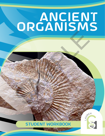## ANCIENT ORGANISMS SAMPLE OF THE CONTROL OF THE CONTROL OF THE CONTROL OF THE CONTROL OF THE CONTROL OF THE CONTROL OF THE CONTROL OF THE CONTROL OF THE CONTROL OF THE CONTROL OF THE CONTROL OF THE CONTROL OF THE CONTROL OF THE CONTROL OF TH



LAUNCH

**ACTIVITY 1 | ANCIENT ORGANISMS | 1**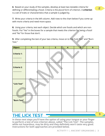**6**. Based on your study of the samples, develop at least two testable criteria for **defining or differentiating a fossil.** Criteria is the plural form of criterion. A **criterion** is a set of traits or characteristics that a sample is judged by.

> **7.** Write your criteria in the left column. Add rows to the chart below if you come up with more criteria and need more space.

> **8.** Using your criteria, test each object. Decide which are fossils and which are nonfossils. Put "Yes" in the boxes for a sample that meets the criterion for being a fossil and "No" for those that don't.

| fossils. Put "Yes" in the boxes for a sample that meets the criterion for being a fossil |              |                |                         |                         |                |                |
|------------------------------------------------------------------------------------------|--------------|----------------|-------------------------|-------------------------|----------------|----------------|
| and "No" for those that don't.                                                           |              |                |                         |                         |                |                |
|                                                                                          |              |                |                         |                         |                |                |
| 9. After completing the test of your two criteria, move on to the "Lick Test" and "Burn  |              |                |                         |                         |                |                |
|                                                                                          |              |                |                         |                         |                |                |
| Test."                                                                                   |              |                |                         |                         |                |                |
|                                                                                          | $\mathbf{1}$ | $\overline{2}$ | $\overline{\mathbf{3}}$ | $\overline{\mathbf{4}}$ | 5 <sup>1</sup> | $6\phantom{a}$ |
| Object:                                                                                  |              |                |                         |                         |                |                |
|                                                                                          |              |                |                         |                         |                |                |
| <b>Criteria 1:</b>                                                                       |              |                |                         |                         |                |                |
|                                                                                          |              |                |                         |                         |                |                |
|                                                                                          |              |                |                         |                         |                |                |
|                                                                                          |              |                |                         |                         |                |                |
|                                                                                          |              |                |                         |                         |                |                |
| <b>Criteria 2:</b>                                                                       |              |                |                         |                         |                |                |
|                                                                                          |              |                |                         |                         |                |                |
|                                                                                          |              |                |                         |                         |                |                |
|                                                                                          |              |                |                         |                         |                |                |
|                                                                                          |              |                |                         |                         |                |                |
|                                                                                          |              |                |                         |                         |                |                |
| "Lick Test"                                                                              |              |                |                         |                         |                |                |
|                                                                                          |              |                |                         |                         |                |                |
|                                                                                          |              |                |                         |                         |                |                |
|                                                                                          |              |                |                         |                         |                |                |
|                                                                                          |              |                |                         |                         |                |                |
|                                                                                          |              |                |                         |                         |                |                |
| "Burn Test"                                                                              |              |                |                         |                         |                |                |
|                                                                                          |              |                |                         |                         |                |                |
|                                                                                          |              |                |                         |                         |                |                |
|                                                                                          |              |                |                         |                         |                |                |
|                                                                                          |              |                |                         |                         |                |                |

## the lick test

**In these next steps you'll have the option of using your tongue or your finger to perform a test of one criterion above, called "The Lick Test". The samples, while not hazardous, may be dirty and they definitely won't taste very good. Instructions for both approaches are provided below.** 

3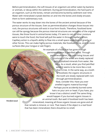Before permineralization, the soft tissues of an organism are either eaten by bacteria or animals, or decay within the sediment. During permineralization, the hard parts of an organism, such as the bones, remain and become buried by sediment over time. Water with mineralized crystals leeches on and into the bones and slowly encases them to form sedimentary rock.

The water works its way down into the bones of the ancient animal because of the porous structure of the tissues. Even as permineralization changes those tissues into rock, the porous structures still exist in true form fossils. Therefore, fossilized bone can still be spongy because the porous internal structures are remnants of the original tissues, like those found in animal bones today. If it were to rain or other moisture were to touch the fossil, the fossil will pull the water in through capillary action. Capillary action is a liquid's ability to flow into a small space regardless of gravity or other forces. This can make highly porous materials, like fossilized bone, stick to moist surfaces (like your tongue or wet finger).

An example of a fossil that has gone through permineralization is petrified wood. Through permineralization, the once-living tissues and structures of the wood are slowly replaced with crystalized minerals from water, like silica. As a result, when you find petrified wood it seems to be more like a rock than a tree. In the same way, as a tooth is fossilized, the organic structures in the tooth are slowly replaced with rock through permineralization. Now, consider this: Have you ever smelled organic material burning? Perhaps you've accidently burned some hairs on your arm or head. If you have, you know it has a distinct smell! The same thing would happen if you burned organic tissues in an animal tooth. But wait! A fossilized tooth has been mineralized, meaning all those organic tissues are gone and all that remails is mineral, or rock. That means if the object is a real fossil that has been mineralized, there should be no smell. Figure 11 and the and the specification of the state is the those found in animal bones to due to the forest to the forest of the forest of the state in through a simplifier and the state in the state in the state of the s

*Petrified wood*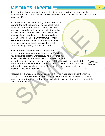## MISTAKES HAPPEN

It is important that we understand what fossils are and how they are made so that we identify them correctly. In the past and even today, scientists make mistakes when it comes to ancient life.

In the late 1800s, two paleontologists, O.C. Marsh and Edward Drinker Cope, were racing to publish more new dinosaur names than the other. In 1877, O.C. Marsh discovered a skeleton of an ancient organism he called *Apatosaurus*. However, the skeleton was missing a head. In order to complete the skeleton, Marsh used the head of a *Camarasaurus* to make a complete skeleton. While this was an intentional error, Marsh made a bigger mistake that is still confusing people today – the *Brontosaurus.*

In 1879, another skeleton was discovered and named by Marsh *Brontosaurus1* , however, in 1903 it was discovered that the *Brontosaurus* he discovered was actually a smaller *Apatosaurus1* . Marsh's mistakes caused misunderstandings about dinosaurs for over 100 years, with the idea that the "thunder lizard" called the *Brontosaurus* existed2. It's a debate that continues today, with new research suggesting Marsh might have been right after all (albeit possibly unintentionally). The discovered a skeleton of an ancient organism<br>called Apotosourus. However, the skeleton was<br>sing a head. In order to complete the skeleton was<br>sing a head. In order to complete the skeleton,<br>omplete skeleton. While this

*Complete Apatosaurus Skeleton*

Research another example of an error a scientist has made about ancient organisms. You can start with "Piltdown Chicken" or "scientist mistakes." Write a short summary (approximately 5 sentences) about it below including a description of the error and the reason it was made.